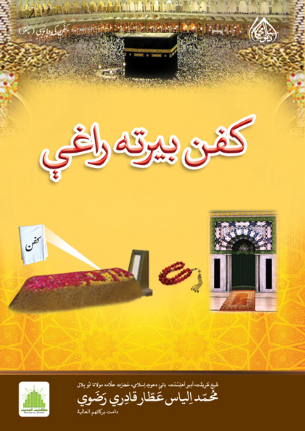

محتد الياس عَطّار قادِري رَضَوي دامت بركاتهم العالية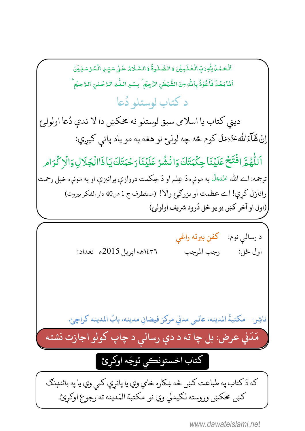-ٱلۡحَمۡمُا يِلۡهِ رَبِّ الۡعَٰلَـٰٓبِيۡنَ وَ الصَّبِلٰوةُ وَ السَّلَامُ عَلٰى سَيِّـٍٰ الۡمُدۡسَلِيۡنَ ֺ֧֧֦֧֦֧֦֧֦֧֦֧ ۡ ֧֦֧֦֧֦֧֦֧֦֧֦֧֦֧֦֧֝ ٰ -ٰ -֧<u>֓</u> -ֺ֧֧֦֧֦֧֦֧֦֧֦֧ -اَشَا بَعْدُ فَاَعُوْذُ بِاللّٰهِ مِنَ الشَّيْطٰنِ النَّجِيُمِ ۚ بِسْمِ اللّٰهِ الرَّحْسٰنِ الرَّحِيُمِ ۚ ֧֘ -; , ٰ ֧<u>֓</u> ٰ ٰ ۡ , د کتاب لوستلو دَ و كتاب لوستلو دَعا ديني كتاب يا اسلامي سبق لوستلو نه مخكښ دا لا ندې دُعا اولولئ و<br>, اِنْ شَآءَاللَّهُ تَرَجَلَّ كوم څه چه لولۍ نو هغه به مو ياد پاتې كيږي: ---ٱللَّهُمَّ افۡتَحۡ عَلَيۡنَاۚ حِكۡمَتَكَ وَانۡشُرۡ عَلَيۡنَاۚ رَحۡمَتَكَ يَاۚ ذَاالۡجَلَاٰلِ وَالۡرۡ کُرَام ٰ ا<br>أ ترجمه: اے الله عَزَّدَجَلَ په مونږه دَ عِلم او دَ حِكمت دروازې پرانيزې او په مونږه خپل رحمت ---رانازل كړې! اے عظمت او بزرگرئ والا! (مستطرف ج 1 ص40 دار الفكر بيروت) (اول او آخر كښ يو يو ځل دُرود شريف اولولئ) كه دَ كتاب په طباعت كښ څه ښكاره خامي وي يا پانرې كمي وي يا په بائنډنګ كښ مخكښ وروسته لكيدلي وي نو مكتبة المَدينه ته رجوع اوكړئ. كتاب اخستونكي توجّه اوكرئ د رسالي نوم: كفن بيرته راغي ع j, 2015 `].a `]9 bcdefg=h.! =\_A , ناشِر: مكتبةُ المدينه، عالمي مدني مركز فيضانِ مدينه، بابُ المدينه كراچئ. l<br>C مَ )<br>D دَني عرض: بل چا ته د دې رسالي د چاپ کولو اجازت نشته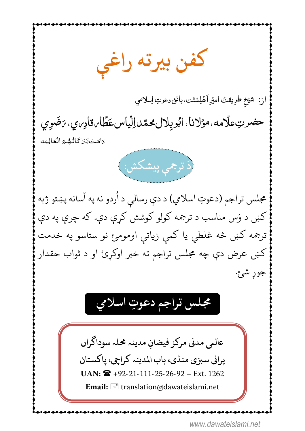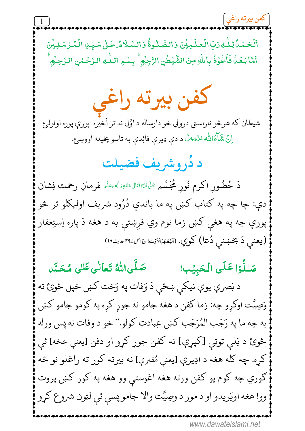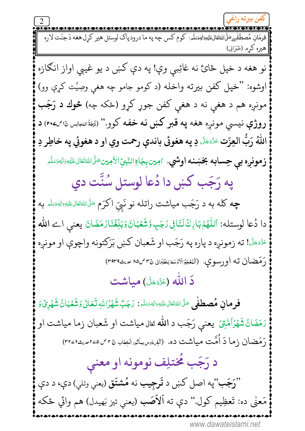<del>د محت معت محت محت میں مسلم مسلم مسلم مسلم مسلم م</del>سلم مسلم میں دور دیاک لوستل هیر کرل هغه دَجنّت لاره<br>فومَان مُصطَفْے، أَلشَاهَتَالنَائِتَةِ البَّسَلَّہِ: کوم کس چه په ما درود پاک لوستل هیر کرِل هغه دَجنّت لاره | هیره کره. (طَبَرَانی) نو هغه د خپل ځائ نه غائِبي وې! په دې کښ د يو غيبي اواز انګازه اوشوه: "خپل کفن بیرته واخله (د کومو جامو چه هغې وصِیَّت کړې وو) مونږه هم د هغې نه د هغې کفن جوړ کړو (ځکه چه) **څوك د رَجَب** روژې نيسې مونږه هغه په قبر كښ نه خفه كوو.'' (نُنفُتاننجايس&اسک) د اللّٰهُ رَبُّ العِزّت عَتَّحَكَّ دِ په هغوئي باندې رحمت وي او د هغوئي په خاطِر دِ **زمونږه بي حِسابه بخښنه اوشي**. اويينيِجَاوِالنّبيِّالأوِين صَلَىاللهُتَعَالىعَلَيْهِوَالِهِصَلَّم په رَجَب کښ دا دُعا لوستل سُنَّت دي **چه کله به د رَجَب میاشت راتله نو نَبِیّ اکرَم** صَلَّاللهٔقَالی، عَلی<sub>ّل</sub>هٔ وَاللهٔ تَعَاله مِهْد دا دُعا لوستله: اَللَّهُمَّ بَارِكْ لَنَافِي رَجَبٍ وَّشَعْبَانَ وَبَلِّغْنَارَمَضَانَ يعني اے اللّٰه عَتَّفَكَّا! ته زمونږه د پاره په رَجَب او شَعبان كښ بَرَكتونه واچوې او مونږه رَمَضان ته اورسوي. (ٱلْمُعْجَمُالَاوُسَطلِلظَّبَان نَّ ٣ص٨٥ صَنْـ ٣٩٣٩) دَ اللّٰه (ءَرَّئَ) مياشت فرمانِ مُصطفٰى <sup>صَلَّ</sup>الل<sup>هق</sup>ال عَليَهِ وَالِهِ وَسَلَّه. رَجَبٌ شَهْرُاللهِ لَـَعَالٰى وَشَعْبَانُ شَهْرِيٌ وَ رَمَضَانُ شَهْرُاُمَّتِيۡ ۖ يعني رَجَب د الله تَعَالِى مياشت او شَعبان زما مياشت او رَمَضان زما دَ اُمَّت میاشت ده. (آلفِهنوسباثورالْغِطاب نَّ r ص ۲۵مهیث۲۲ (۳۲ د رَجَب مُختلِف نومونه او معنى "رَجَب"په اصل کښ د <del>تَرجِيب</del> نه مُشتَق (يعن<sub>ې وتلې) دې، د دې</sub> مَعنٰى ده: تَعظِيم كول.'' دې ته اَلاَصَب (يعني تيز بَهيدل) هم وائي ځكه www.dawateislami.net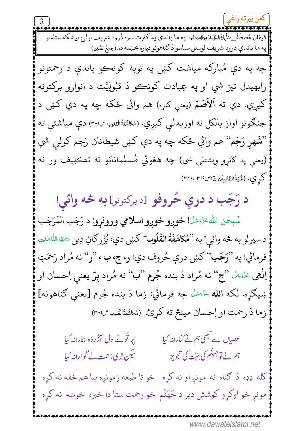<u>۔ مستحققہ میں مستحق کے مستحق کے مستحق کے دورہ میں ک</u>ی مستحق کے دورہ شریف لولرغ بیشکہ ستاسو<br>فومَان مُصطَفْےعَلَیْاشِیْتَالِیْمَیْتِوَالِیْمَنِیّْدِ: په ما باندې په کثرت سره دُرود شریف لولرغ بیشکه ستاسو || په ما باندې درود شريف لوستل ستاسو دَ ګناهونو دپاره بخښنه ده.(جامِعُ الصَّغِير) چه په دې مُبارکه مياشت کښ په توبه کونڪو باندې د رحمتونو رابهيدل تيز شي او په عِبادت کونڪو دَ قُبُولِيَّت د انوارو برکتونه کيږي. دې ته اَلاَصَمّ (يعنې کنږه) هم وائی ځکه چه په دې کښ د جنګونو اواز بالکل نه اوريدل<sub>ی</sub> کيږي. (مُکاشَفةُالڤلمب<sup>ى</sup>'۳۰۱) دې مياشتې ته "نقَـهر رَجَم" هم وائي ځکه چه په دې کښ شيطانان رَجم کولـې شي (يعنې په کانړو وِيشتلې شي) چه هغوئي مُسلمانانو ته تڪلِيف ور نه كرِي. (غُنُيَةُالطّالِبِيُّن نَاص٣١٩. ٣٢٠، ٢٣٩) د رَجَب د درې حُروفو [د برکتونو] به څه وائې! سُبحٰن اللهُ عَنَّصَلَّا**! خورو خورو اسلامي ورونړو!** د رَجَب المُرَجَب د سپرلو به څه وائي! په "مُكاشَفَةُ القُلُوب" كښ دي، بُزُرِكانِ دِين ۞هَهُ اللهُالهُبين فرمائي: په "رَجَب" کښ درې حُروف دي: ر، ج، ب ، "ر" نه مُراد رَحمَتِ اِلْهِي عَرَّضَ "ج" نه مُراد دَ بنده جُرم "ب" نه مُراد بِرّ يعني اِحسان او ښيګړه. لکه الله عَزَّدَ چه فرمائي: زما دَ بنده جُرم [يعنې ګناهونه] زما دَ رحمت او اِحسان مینځ ته کړئ. (مُکاشَفةُالْقُدب ٣٠١/ عصیاں سے کبھی ہم نے گمارانہ کی<u>ا</u> یُر تُونے دل آزُردَہ ہمارانہ کیا ہم نے توجہٹم کی بَہُت کی تجویز لیکن تر <sub>کا</sub>رَ حمت نے گوارانہ کیا کله ډډه دَ ګناه نه مونږاو نه کړه خو تا طبعه زمونږه بیا هم خفه نه کړه مونږ خو اوکړو کوشش ډير د جَهَنَّم خو رحمت ستا دا خبره خوښه نه کړه www.dawateislami.net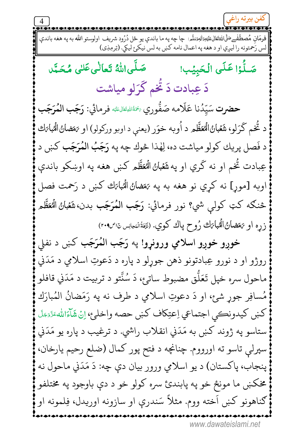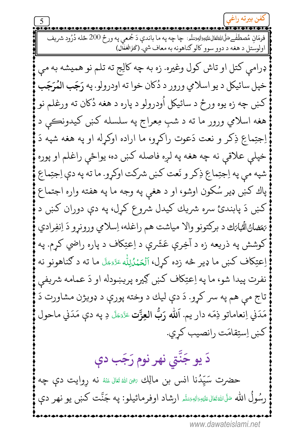فرمَان مُصطَفْےعَلَّاللهُتَعَالِيَةِيَوَاللهِيَسَلَّمِ: چا چه په ما باندې دَ جُمعي په ورځ 200 ځله دُرُود شريف اولوستل د هغه د دوو سوو کالو ګناهونه به معاف شي. (کَنزَالُعُمَّال) ډرامې كتل او تاش كول وغيره. زه به چه كالِج ته تلم نو هميشه به مې خپل سائيكل د يو اسلامي ورور د دُكان خوا ته اودرولو. په رَجَب المُرَجَب کښ چه زه يوه ورځ د سائيکل اُودرولو د پاره د هغه دُکان ته ورغلم نو هغه اسلامي ورور ما ته د شبِ مِعراج په سلسله کښ کيدونڪي د اِجتِماعِ ذِكرٍ و نعت دَعوت راكرِو، ما اراده اوكرِله او په هغه شپه دَ خپلې علاقي نه چه هغه په لږه فاصله کښ ده، يواځې راغلم او پوره شپه مي په اِجتِماعِ ذِكر و نَعت كښ شركت اوكړو. ما ته په دې اِجتِماعِ پاك كښ ډير سُكون اوشو، او د هغي په وجه ما په هفته واره اجتماع کښ دَ پابندئ سره شريك كيدل شروع كړل، په دې دوران كښ د يَمَضانُ الْمُبابَك د بركتونو والا مياشت هم راغله، اِسلامي ورونړو دَ اِنفِرادي کوشش په ذريعه زه د آخِرې عَشَرې د اِعتِکاف د پاره راضي کړم. په اِعتِكاف كښ ما ډير څه زده كړل، اَلْحَمْلُلِلُه ءَدَّمَتَ ما ته د ګناهونو نه نفرت پيدا شو، ما په اِعتِكاف كښ كِيره پريښودله او دَ عمامه شريفي تاج مي هم په سر كړو. دَ دې ليك د وخته پورې د ډويژن مشاورت دَ مَدَني اِنعاماتو ذِمّه دار يم. اَلله رَبُّ العِزَّت عَزَّمَكَ دِ په دې مَدَني ماحول كښ اِستِقامَت رانصيب كړي. دَ يو جَنَّتى نهر نوم رَجَب دې حضرت سَيِّدُنا انس بن مالِك ﷺ تَال عَنْهُ نه رِوايت دې چه رسُولُ الله صَلَّىاللهُ قَتَال عَلَيْهِ رَاللهِ رَسَلُه اوفرمائيلو: په جَنَّت کښ يو نهر دې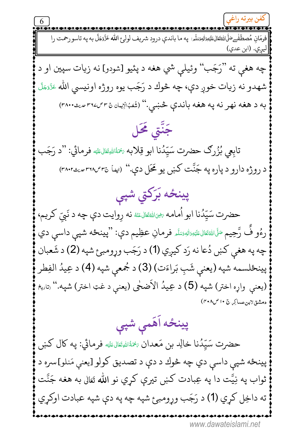فرمَان مُصطَفْےعَلَىاللَّهُتَعَالِيَمَانِيَةِاللَّهِيَسَلَّمِ: په ما باندې درود شريف لوليځ الله عَزَّوَجَلَّ به په تاسو رحمت را |ليري. (ابن عدي) چه هغې ته "رَجَب" وئيلې شي هغه د پئيو [شودو] نه زيات سپين او د شهدو نه زيات خوږ دې، چه څوك د رَجَب يوه روژه اونيسي الله عَرَّمَكَ به د هغه نهر نه په هغه باندې څښي." (شُمَبُالِيان&۳۳ میثه.۳۸۰) جَنَّتِی مَحَل تابعي بُزُرِكَ حضرت سَيِّدُنا ابو قِلابه ﷺﷺ فرمائي: ''د رَجَب د روژه دارو د پاره په جَنَّت کښ يو ځَل دې.'' (ايفا ٣٦٠٥٣ ميث ٣٨٠٢) پینځه بَرَکتی شپی حضرت سَيِّدُنا ابو اُمامه ﷺاللهَ عَنْ نه رِوايت دې چه د نَبيّ كريم، رءُو فُ رَّحِيم سَلَاللهُ تَعَالىءَليَهِ زَللهِ رَسَلَہ فرمانِ عظِيم دي: ''پينځه شپي داسي دي چه په هغې کښ دُعا نه رَد کيږي (1) د رَجَب وړومبئ شپه (2) د شَعبان پينځلسمه شپه (يعني شَبِ بَراءَت) (3) د جُمعي شپه (4) د عِيدُ الفِطر (يعني واړه اختر) شپه (5) د عِيدُ الأضخى (يعنې د غټ اختر) شپه.'' <sub>ن</sub>تاريخ دمشقلابن عساكِر ج ١٠ ص٢٠٨) پينځه اَهَمی شپی حضرت سَيِّدُنا خالِد بن مَعدان ﷺقالهﷺ فرمائي: په كال كښ پينځه شپې داسې دي چه څوك د دې د تصديق كولو [يعنې مَنلو]سره د ثواب په نِيَّت دا په عِبادت کښ تيرې کړي نو الله تَعَالى به هغه جَنَّت ته داخِل کړي (1) د رَجَب وړومبئ شپه چه په دې شپه عبادت اوکړي www.dawateislami.net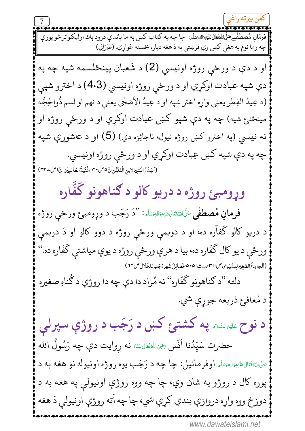| چه زما نوم په هغې كښ وي فرښتې به دَ هغه دپاره بخښنه غواړي. (طَبَرَايي) او د دې د ورځې روژه اونيسي (2) د شَعبان پينځلسمه شپه چه په دې شپه عبادت اوکړي او د ورځې روژه اونيسي (4،3) د اخترو شپې (د عِيدُ الفِطر يعني واړه اختر شپه او د عِيدُ الأضحٰي يعني د نهم او لسم ذُوالحِجَّه مينځنئ شپه) چه په دې شپو کښ عبادت اوکړي او د ورځې روژه او نه نيسي (په اخترو کښ روژه نيول، ناجائِزه دي) (5) او د عاشورې شپه چه په دې شپه کښ عِبادت اوکړي او د ورځې روژه اونيسي. (اَلْبَدُدُ الْمُنِيْدِلابِنِ الْمُلَقِّنِ نَ٥صٌ ٣٠ ،غُنْيَةُ الطَّالِبِيِّنِ نَ اصْـ٣٢) وړومبئ روژه د دريو کالو د ګناهونو گفّاره فرمانِ مُصطفٰى صَلَّىاللهُ تَقَالىءَتَيْهِ اللهِ مَتَلَهِ: ''دَ رَجَب د وړومبئ ورځي روژه د دريو کالو گفآره ده، او د دويمې ورځې روژه د دوو کالو او دَ دريمې ورځې د يو کال گفّاره ده، بيا د هرې ورځې روژه د يوې مياشتې گفّاره ده." (اَلۡجامِعُ الصَّغِيْرِلِلسُّيُوطىِ صِ ااسمِصدِیتْ ا۵٠۵، فَضائِلُ شَهْرِ دَجَبِ لِلخَلَّالِ صِ١٣) دلته "د ګناهونو گفّاره" نه مُراد دا دې چه دا روژې د گُناهِ صغيره د مُعافئ ذريعه جوړې شي. د نوح عقوالشده په کشتئ کښ د رَجَب د روژې سپرلی حضرت سَيِّدُنا اَنَس ﷺ ناهُ اللهُ عَنْهُ نه رِوايت دې چه رَسُولُ الله <sup>صَلَّى</sup>اللَّهُ تَعَالَىٰءَلَيْهِ <sub>تَ</sub>اللَّهُ اوفرمائيل: چا چه د رَجَب يوه روژه اونيوله نو هغه به د پوره کال د روژو په شان وي، چا چه ووه روژې اونيولي په هغه به د دوزخ ووه واړه دروازې بندي كړې شي، چا چه اَته روژې اونيولې دَ هغه www.dawateislami.net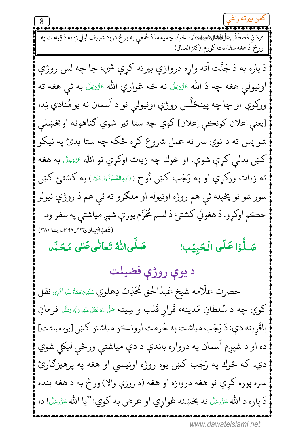ورحٌ دَ هغه شفاعت كووم. (كنز العمال) دَ پاره به دَ جَنَّت اَته واړه دروازې بيرته کړې شي، چا چه لس روژې اونيولې هغه چه دَ الله عَزَّمَلَ نه څه غواړي الله عَزَّمَعَلَ به ئې هغه ته ورکوي او چاچه پينځلَّس روژې اونيولې نو د اَسمان نه يو مُنادي نِدا [يعني اعلان كونكي اِعلان] كوي چه ستا تير شوي گناهونه اوبخښلي شو پس ته د نوي سر نه عمل شروع کړه ځکه چه ستا بدئ په نيکو كښ بدلې كړې شوې. او څوك چه زيات اوكړي نو الله ءَزَ<sub>تَ</sub>حَلَّ به هغه ته زيات وركړي او په رَجَب كښ نُوح (عَلَيْهِالصَّلَوةُ وَالسَّلَاهِ) په كشتىئ كښ سور شو نو پخپله ئي هم روژه اونيوله او ملګرو ته ئي هم دَ روژې نيولو حڪم اوکړو. دَ هغوئي کشتئ دَ لسم مُحَرَّم پورې شپږ مياشتې په سفر وه. (شُعَبُ الْإِيهان ج٣٢/ص٣١٨ مديث ٢٨٠١) صَلَّىاللَّهُ تَعالٰى عَلى مُحَبَّد صَلُّرْا عَلَى الْحَبِيُبِ! د يوې روژې فضيلت حضرت علّامه شيخ عَبدُالحق مُحَدِّث دِهلوي عَلَيْهِ مَنظَالِهِ الْقَرِي نقل كوي چه د سُلطانِ مَدينه، قَرارِ قَلب و سِينه مَلَىالله تَنَال عَليْهِ وَللهِ مَسَّدٍ فرمانِ باقَرِينه دي: دَ رَجَب مياشت په حُرمت لرونڪو مياشتو کښ[يوه مياشت] ده او د شپږم اَسمان په دروازه باندې د دې مياشتې ورځې ليکلي شوي دي. که څوك په رَجَب کښ يوه روژه اونيسي او هغه په پرهيزګارئ سره پوره کري نو هغه دروازه او هغه (د روژې والا) ورځ به د هغه بنده دَ پاره د الله عَزَّمَعَلَ نه بخښنه غواړي او عرض به كوي: "يا الله عَزَّمَعَلَ! دا www.dawateislami.net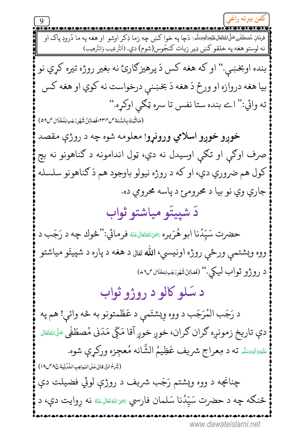فرمَانِ مُصطَفْےعَلَّىٰاللَّهْتَعَالٰىٰعَلَيْہِ اللَّهِيَسَلَّمَ: دَچا په خوا کښ چه زما ذِکر اوشو او هغه په ما دُرودِ پاک او | نه لوستو هغه په خلقو كښ ډير زيات كنجُوس(شوم) دې. (اَلتَّرغِيب وَالتَّرهِيب) بنده اوبخښې.'' او كه هغه كس دَ پرهيزګارئ نه بغير روژه تيره كړي نو بيا هغه دروازه او ورځ دَ هغه دَ بخښنې درخواست نه کوي او هغه کس ته وائي:'' اے بنده ستا نفس تا سره ټکي اوکړه.'' (مَاثَبَتَ بِالسُّنةَ ص٣٣٢، فَضائِلُ شَهْرِرَجَبِ لِلْخَلَّالِ ص٥٧) خوږو خوږو اسلامي ورونړو! معلومه شوه چه د روژې مقصد صرف اوګي او تګي اوسیدل نه دي، ټول اندامونه د ګناهونو نه بچ کول هم ضروري دي، او که د روژه نيولو باوجود هم دَ ګناهونو سلسله جاري وي نو بيا د محرومئ د پاسه محرومي ده. دَ شييتَو مياشتو ثواب حضرت سَيّدُنا ابو هُرَيره ﷺاللهَ عنهُ فرمائي:''څوك چه د رَجَب د ووه ويشتمې ورځې روژه اونيسي، الله <sub>تَعَالى</sub> د هغه د پاره د شپيتَو مياشتو د روژو ثواب ليکي.'' (نَصائِلُشَهْرِرَجَبِلِلغَّلال ص٤٦) د سَلو کالو د روژو ثواب د رَجَب المُرَجَب د ووه وِيشتَمي د عَظَمتونو به څه وائي! هم په دې تاريخ زمونږه ګران ګران، خوږ خوږ آقا مَکّي مَدَني مُصطَفٰي سَلَاللهتَال <sub>تَلَيْ</sub>وَالِهِيَسَّه ته د مِعراج شريف عَظِيمُ الشَّانه مُعجِزه وركړې شوه. (شَهِمُ الزَّارِ قانى عَلَى المَواهِبِ اللَّكُنِّيةِ نَ ٨ ص١٨) چنانچه د ووه ويشتم رَجَب شريف د روژې لوئي فضيلت دې څنګه چه د حضرت سَیِّدُنا سَلمان فارسي ﷺالله عَنه زوایت دې، د www.dawateislami.net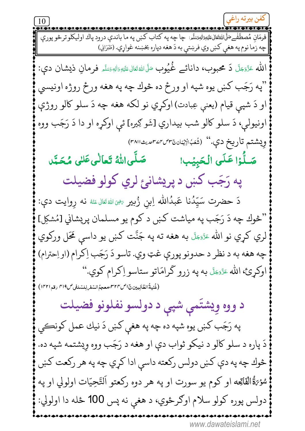|| چه زما نوم په هغې كښ وي فرښتې به دَ هغه دپاره بخښنه غواړي. (طَبَرَانِي) الله عَزَّدَجَلَّ دَ محبوب، دانائے غُمُيوب صَلَّىالله تَعَالىءَليٓهِۦدَاللهٖ مَسَلَّم فَرمانِ ذيشان دي: "په رَجَب کښ يوه شپه او ورځ ده څوك چه په هغه ورځ روژه اونيسي او دَ شپي قيام (يعني عِبادت) اوکړي نو لکه هغه چه دَ سلو کالو روژې اونيولي، دَ سلو کالو شب بيداري [شَو كِيره] ئي اوكړه او دا دَ رَجَب ووه وِيشتم تاريخ دې." (شُعَبُالِيْمَان ُ٣٣،٣٣٣٣٣٣) صَلَّىاللهُ تَعالٰىعَكِ مُحَبَّد صَلَّٰزَا عَلَى الْحَبِيۡبِ! په رَجَب کښ د پريشانئ لري کولو فضيلت دَ حضرت سَيِّدُنا عَبدُالله اِبن زُبيرِ ﷺ قَالَ عَنْهُ نه روايت دي: "څوك چه دَ رَجَب په مياشت كښ د كوم يو مسلمان پريشاني [مُشكِل] لري كړي نو الله عَزَّمَهِلَّ به هغه ته په جَنَّت كښ يو داسې مَحَل وركوي چه هغه به د نظر د حدونو پورې غټ وي. تاسو دَ رَجَب اِکرام (او اِحترام) اوكړئ، الله عَزَّمَهَّل به په زرو گرامَاتو ستاسو اِكرام كوي." (غُنِيةُ الطّالِبِينِينَ إص٣٢٣،معجهُ السّفِ لِلسّلِغِي ص٣١٩ رقه ١٣٢١) د ووه وِيشتَمي شپې د دولسو نفلونو فضيلت په رَجَب کښ يوه شپه ده چه په هغې کښ دَ نيك عمل کونڪي دَ پاره د سلو کالو د نيکو ثواب دې او هغه د رَجَب ووه وِيشتمه شپه ده. څوك چه په دې كښ دولس ركعته داسې ادا كړي چه په هر ركعت كښ سُؤِيَّةُالْفَاتِحِه او كوم يو سورت او په هر دوه ركعتو اَلتَّحِيّات اولولي او په دولس پوره كولو سلام اوكرځوي، د هغې نه پس 100 ځله دا اولولي: www.dawateislami.net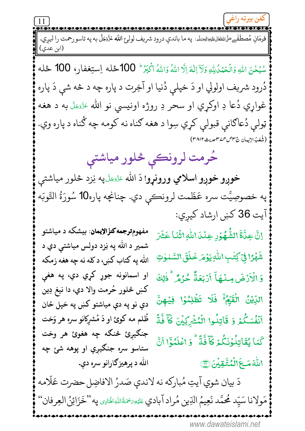فرمَانِ مُصطَفْےعَلَى الله الله عليه الله عليه على الله عليه الله على الله عَزَّوَجَلَّ به په تاسو رحمت را ليږي. (ابن عدي) سُبْحٰنَ اللهِ وَالْحَمْدُلِيُّهِ وَلَآ اِللّهُ اِلَّا اللهُ وَاللهُ أَكْبَرُ ۚ 100 حَمْله اِستِغفار، 100 حَمله دُرود شريف اولولي او دَ خپلې دُنيا او آخِرت د پاره چه د څه شي دَ پاره غواړي دُعا دِ اوکړي او سحر دِ روژه اونيسي نو الله ءَزَءَ َلَ به د هغه ټولې دُعاګانې قبولې کړي سِوا د هغه ګناه نه کومه چه گُناه د پاره وي. (شُعَبُ الإِيمان جَسِس ٣٧٣ص بيث ٣٨١٢) حُرمت لرونڪي څلور مياشتي **خوږو خوږو اسلامي ورونړو**! دَ الله عَرَّئِيَّ په نِزد څلور مياشتې په خصوصِيَّت سره عَظَمت لرونڪي دي. چنانچه پاره10 سُورَةُ التَّوبَه آيت 36 كښ ارشاد كيږي: مفهومترجمه کنؤالإيمان: بیشکه د میاشتو إنَّ عِدَّةَ الشُّهُوُرِ عِنْدَااللَّهِ اثْنَا عَشَرَ شمير د الله په نِزد دولس مياشتې دي د شَهَّرًا فِيَ كِتْبِ اللَّهِ يَوْمَر خَلَقَ السَّمْوٰتِ الله په کتاب کښ، د کله نه چه هغه زمکه او اسمانونه جوړ کړي دي، په هغې وَ الْأَرْضَ مِنْهَآ أَرْبَعَةٌ حُرُلاًا ۚ ذٰلِكَ كښ څلور حُرمت والا دي، دا نيغ دِين اللِّيْنُ الْقَيْلِمُ ۖ فَلَا تَظُلِمُوۡا فِيۡهِنَّ دې نو په دې مياشتو کښ په خپل ځان أَنْفُسَكُمْ وَ قَاتِلُوا الْمُشْرَكِيْنَ كَأَ فَّةً ظُلم مه کوئ او دَ مُشرکانو سره هر وَخت جنگيرئ څنگه چه هغوئ هر وخت كَمَا يُقَاتِلُوْنَكُمْ كَأَفَّلَأَا ۚ وَ اعْلَمُوۡٓا اَنَّ ستاسو سره جنګیږي او پوهه شئ چه اللّٰهَ *مَــَعَ*الۡمُتَّقِيۡنَ۞ الله د پرهيزګارانو سره دي. دَ بيان شوي آيتِ مُباركه نه لاندې صَدرُ الافاضِل حضرت عَلّامه مَولانا سَيِّد مُحمَّد نَعِيمُ الدِّينِ مُراد آبادي عَيَيهِ َحَةُاللهِ الْحَاءِي په ''خَزَائِنُ العِرفان''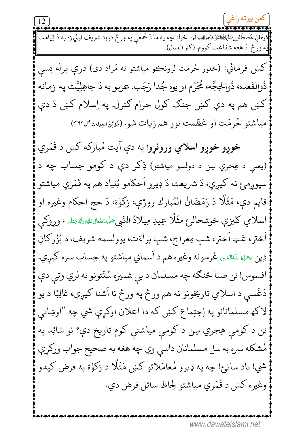.<br>فوهَان مُصطَفْےعَلَى اللَّهْتَعَالِيَ عَلَيْهِ وَاللَّهُوَسَلَّم: څوك چه په ما دَ جُمعي په ورځ درود شريف لولي زه به دَ قِيامت په ورځ دَ هغه شفاعت كووم. (كنز العمال) کښ فرمائي: (څلور حُرمت لرونڪو مياشتو نه مُراد دي) درې پرله پسې ذُوالقَعده، ذُوالحِجَّه، مُحَرَّم او يوه جُدا رَجَب. عربو به دَ جاهِلِيَّت په زمانه کښ هم په دې کښ جنګ کول حرام ګنړل. په اِسلام کښ دَ دې مياشتو حُرمَت او عَظَمت نور هم زيات شو. (خَرْيْنُ العِرفان ٣٦٢/٣) خوږو خوږو اسلامي ورونړو! په دې آيت مُباركه كښ د قَمَري (يعنې د هِجري سِن د دولسو مياشتو) ذِکر دې د کومو حِساب چه د سپوږمئ نه کيږي، دَ شريعت دَ ډيرو اَحکامو بُنياد هم په قَمَري مياشتو قايم دي، مَثَلًا دَ رَمَضَانُ المُبارك روژې، زكوٰة، دَ حج احكام وغيره او اسلامي كليزې خوشحالئ مثَلًا عِيدِ مِيلادُ النَّبِي صَلَى الله تَنالىءَليَهِ زَالدِسَلَهِ ، وړوكى اَختر، غټ اَختر، شبِ مِعراج، شبِ براءَت، يوولسمه شريف، د بُزُرګانِ دِين چَهُمُ اللهُ الهُ ي عُرسونه وغيره هم د اَسماني مياشتو په حِساب سره كيري. افسوس! نن صبا څنګه چه مسلمان د بې شمیره سُنّتونو نه لري وتې دې دَغَسې د اسلامي تاريخونو نه هم ورځ په ورځ نا اَشنا کيږي، غالِبًا د يو لاکھ مسلمانانو په اِجتِماع کښ که دا اعلان اوکړې شي چه ''اوښائي نن د کومې هِجري سِن د کومې مياشتې کوم تاريخ دې؟ نو شائِد په مُشكله سره به سل مسلمانان داسي وي چه هغه به صحيح جواب وركړې شي! ياد ساتئ! چه په ډيرو مُعامَلاتو کښ مَثَلًا د زکوٰة په فرض کيدو وغيره كښ د قَمَري مياشتو لِحاظ ساتل فرض دي.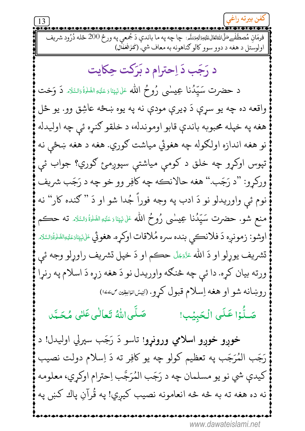$13$ فرمَانِ مُصطَفْےحَلَّىاللهئَعَالیَاعَلیْمِوَاللّٰہِۃَلَہِۃ: چاچه په ما باندې دَ جُمعي په ورځ 200 ځله دُرُود شریف اولوستل د هغه د دوو سوو کالو ګناهونه به معاف شي. (کَنزُالۡعُمَال) د رَجَب دَ اِحترام د بَرَكت حِكايت د حضرت سَيّدُنا عِيسٰى رُوحُ الله عَلىٰ <sub>نَبِّ</sub>نَاءَعَلَيْهِ الصَّلَّةُ؛السَّلَاه دَ وَخت واقعه ده چه يو سرې دَ ډيرې مودې نه په يوه ښځه عاشِق وو. يو ځل هغه په خپله محبوبه باندې قابو اوموندله، د خلقو ګنړه ئې چه اوليدله نو هغه اندازه اولګوله چه هغوئي مياشت ګوري. هغه د هغه ښځي نه تپوس اوکړو چه خلق د کومي مياشتې سپوږمئ ګوري؟ جواب ئې ورکرو: "د رَجَب." هغه حالانڪه چه کافِر وو خو چه د رَجَب شريف نوم ئي واوريدلو نو دَ ادب په وجه فوراً جُدا شو او دَ " ګنده کار" نه منع شو. حضرت سَيِّدُنا عِيسْمِي رُوحُ الله عَلىٰ <sub>نَبِيّ</sub>نَاءَعَلَنَهِ الصَّلَّةُ وَالسَّلَاه ته حڪم اوشو: زمونږه دَ فلانڪي بنده سره مُلاقات اوکړه. هغوئي عَلىٰئِيَّائِعَلَيْهِالصَّلَاثَانَدَ لِمَتَّارِ تشريف يوړلو او دَ الله عَزَّمَهَّ حڪم او دَ خپل تشريف راوړلو وجه ئي ورته بيان كړه. دا ئي چه څنګه واوريدل نو دَ هغه زړه دَ اسلام په رنړا روښانه شو او هغه اِسلام قبول کړو. (ايشانوايظين ص١٤٤) صَلَّىاللَّهُ تَعالٰى عَلٰى مُحَمَّد صَلُّوۡا عَلَى الۡحَبِیۡبِ! خوږو خوږو اسلامي ورونړو! تاسو دَ رَجَب سپرلي اوليدل! د رَجَب المُرَجَب په تعظیم کولو چه یو کافِر ته دَ اِسلام دولت نصیب کيدې شي نو يو مسلمان چه د رَجَب المُرَجَّب اِحترام اوکړي، معلومه نه ده هغه ته به څه څه انعامونه نصيب کيږي! په قُرآنِ پاك کښ په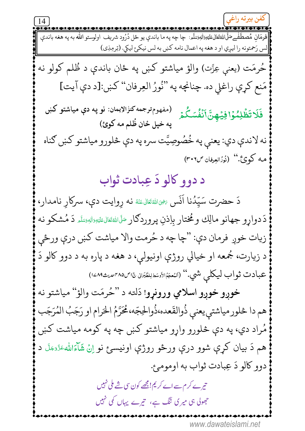||لس رَحمتونه را ليږي او د هغه په اعمال نامه كښ به لس نيكئ ليكي. (تِرمِذِي) حُرمَت (يعني عِزَّت) والؤ مياشتو كښ په ځان باندې د ظُلم كولو نه مَنع كړې راغلي ده. چنانچه په "نُورُ العِرفان" كښ:[د دې آيت] (مفهوم ترجمه كنزُالإيمان: نو يه دي مياشتو كښ فَلَا تَظُلِمُوۡۤا فِيَٰهِنَّ اَنۡفُسَكُمۡ يه خيل ځان ظُلم مه كوئ) نه لاندې دي: يعنې په خُصُوصِيَّت سره په دې څلورو مياشتو كښ كناه هـه كـوئ.'' (نُورُالعِرفان ص٣٠٦) د دوو کالو دَ عِبادت ثواب دَ حضرت سَيّدُنا اَنَس ﷺ نه رِوايت دې، سرکارِ نامدار، دَ دواړو جهانو مالِك و مُختار بِاِذنِ پروردګار مَلَاللهٔتَعَالىقَلَيْهِ َالله يَسَلَّهِ دَ مُشكو نه زيات خوږ فرمان دې: "چا چه د حُرمت والا مياشت كښ درې ورځي د زيارت، جُمعه او خيالي روژې اونيولي، د هغه د پاره به د دوو کالو دَ عبادت ثواب ليكلى شي.'' (النُعجَمُالاَوسَطالِطَبَرانى جَاصْ٣٨٥سمىتِـ2٨٩) خوږو خوږو اسلامي ورونړو! دَلته د ''حُرمَت والؤ'' مياشتو نه هم دا څلور مياشتې يعنې ذُوالقَعده،ذُوالحِجّه،مُحَرَّمُ الحَرام او رَجَبُ المُرَجَب مُراد دي، په دې څلورو واړو مياشتو كښ چه په كومه مياشت كښ هم دَ بيان کړې شوو درې ورځو روژې اونيسئ نو اِنْ شَاَءَاللهءَدَّءَبَلَ د دوو كالو دَ عِبادت ثواب به اومومئ. تیر ے کر م سے اے کر یم! مجھے کون سی شے ملی نہیں جھولی ہی میری تنگ ہے، تیرے یہاں کمی نہیں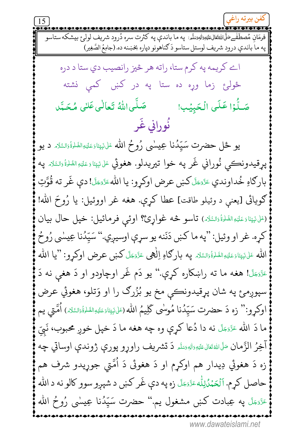$\overline{15}$ په ما باندې درود شريف لوستل ستاسو دَ كناهونو دپاره بخښنه ده. (جامِعُ الصَّغِير) اے کریمه یه کرم ستا، راته هر څیز رانصیب دی ستا د دره ځولۍ زما وره ده ستا په در کښ کمې نشته صَلُّوُا عَلَى الْحَبِيُبِ! صَلَّىاللَّهُ تَعالٰى عَلٰى مُحَمَّد نُوراني غَر يو ځل حضرت سَيّدُنا عِيسٰى رُوحُ الله عَلىشِيِّئاءَعَلَيْهِالصَّلْوَّالسَّلَاه د يو پړقيدونڪي نُوراني غَر په خوا تيريدلو. هغوئي عَلىٰ نَبِيّنَا دِعَلَتِهِ الصَّلَوٰةُ رَالسَّلَامُ په بارِكَاهِ خُداوندي عَزَّمَطَّ كَښى عرض اوكړو: يا الله عَزَّمَعًا! دې غَر ته قُوَّتِ ګويائي [يعني د وئيلو طاقت] عطا کړې. هغه غر اووئيل: يا رُوحَ الله! (عَلَى نَبِيِّنَا وَعَلَيْهِ الصَّلَاةُ وَالسَّلَاهُ.) تأسو څه غواړئ؟؟ اوئبي فرمائيل: خپل حال بيان كړه. غر او وئيل: "په ما كښ دَنَنه يو سړې اوسيږي." سَپّدُنا عِيسْي رُوحُ الله عَلْنَبِيِّنَاءَعَلَيْهِالصَّلَاةُ وَالسَّلَامِ بِه بارِكَاهِ اِلْهِي عَزَّمَجَلَّ كَنِي عرض اوكرو: "يا الله ءَ<sub>َّدَّ</sub>ءَلَّ! هغه ما ته راښکاره کړې." يو دَم غَر اوچاودو او دَ هغې نه دَ سپوږمئ په شان پړقيدونڪي مخ يو بُزُرگ را او وَتلو، هغوئي عرض اوكړو:'' زه دَ حضرت سَيِّدُنا مُوسٰى كَلِيمُ الله (عَلىنَيِّنَاوَعَلَيْهِالصَّلْوَّةُوَالسَّلَاهِ.) اُمَّتى يم ما دَ الله عَزَّمَءَلَ نه دا دُعا كړې وه چه هغه ما دَ خپل خوږ محبوب، نَبِيّ آخِرُ الزَّمانِ صَلَّىٰٓاللَّهُ تَعَالَىٰٓءَلَتِهِۥوَاللَّهِۥوَسَلَمَ دَ تَشْرِيف راوِرو پورې ژوندې اوساتي چه زه دَ هغوئي دِيدار هم اوکرم او دَ هغوئي دَ اُمَّتي جوړيدو شرف هم حاصل كرم. اَلْعَمْدُلِلَّه ءَدَّءَ لَ زه په دې غَر كښ د شپږو سوو كالو نه د الله عَزَّدَجَّلَ په عِبادت کښ مشغول يم.'' حضرت سَيّدُنا عِيسٰي رُوحُ الله www.dawateislami.net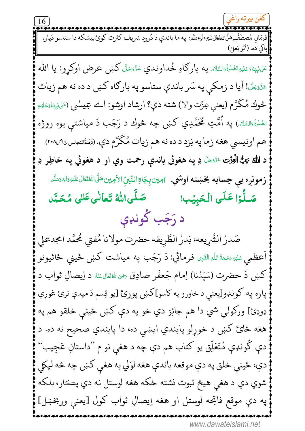16 فرمَان مُصطَفْےعَلَى اللَّهْتَعَالِيَحَلِيْوَاللَّهِيَمَلَّمِ: په ما باندې دَ دُرود شريف كثرت كوئ بيشكه دا ستاسو دَپاره ْ إِيَاكِي ده. (اَبُو يَعْلِي) عَلىنَيِّيَاءَعَلَيْهِالصَّلْةُءَالسَّلَام ڥه باركاهِ خُداوندي عَزَّدَجَلَّ كَښ عرض اوكړو: يا الله عَزَّدَجَلَ! آيا د زمكي په سَر باندې ستاسو په بارگاه كښ د ده نه هم زيات څوك مُكَرَّم (يعني عِزَّت والا) شته دې؟ ارشاد اوشو: اے عِيسٰي (عَلَيْپَنَاتِعَلَيْهِ <sub>الطَّلوَّةُ <sub>تَ</sub>السَّدَه) په اُمَّتِ مُحَمَّدِي کښ چه څوك د رَجَب دَ مياشت<sub>ې</sub> يوه روژه</sub> هم اونيسي هغه زما په نِزد د ده نه هم زيات مُكَرَّم دي. (نُوَةُالبَجاسِ،اص٢٠٨) د الله تهڳالعِڙت ﷺ دِ په هغوئي باندې رحمت وي او د هغوئي په خاطِر دِ **زمونږه بي حِسابه بخښنه اوشي.** اوبين بِجَاةِالنّبيِّالأَوِين صَلَّىاللَّهُتَعَالى عَلَيْهِ وَالِهِصَلَّ صَلَّىاللهُ تَعالٰىعَلىٰ مُحَمَّد صَلَّٰذِا عَلَى الْحَبِيْبِ! د رَجَب كُونډې صَدرُ الشَّرِيعه، بَدرُ الطَّرِيقه حضرت مولانا مُفتي مُحمَّد امجدعلي اَعظمي ءَلَيْهِ سَمَـٰۃُاللّٰہِ الْقَٰہِی فرمائي: دَ رَجَب په میاشت کښ ځینی ځائیونو كښ دَ حضرت (سَيِّدُنا) اِمام جَعفَر صادِق ﷺ د اِيصالِ ثواب د پاره په کونډو[يعنې د خاورو په کاسو]کښ پورئ [يو قِسم دَ ميدې نرئ غوړې ډوډئ] ورکولي شي دا هم جائِز دي خو په دې کښ ځينې خلقو هم په هغه ځائ کښ د خوړلو پابندي ايښې ده، دا پابندي صحيح نه ده. د دې کُونډې مُتَعَلِّق يو کتاب هم دې چه د هغې نو م "داستانِ عَجِيب" دې، ځينې خلق په دې موقعه باندې هغه لوَلي په هغې کښ چه څه ليکلي شوي دي د هغې هيڅ ثبوت نشته ځکه هغه لوستل نه دي پڪار، بلکه په دې موقع فاتحه لوستل او هغه اِيصالِ ثواب كول [يعنې وربخښل]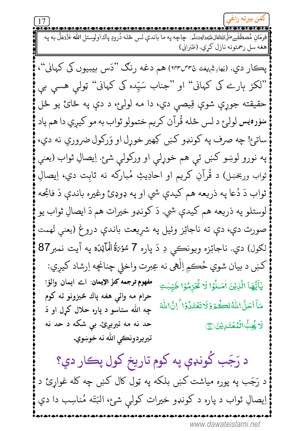.<br>فرمَان مُصطَفْےحَلِّاللَّهُتَعَالِيَقْيَةِاللَّهِيَسَلَّمِ: چاچه په ما باندي لس ځله دُرودِ پاك اولوستل الله عَزَّمَجَلَّ به په |هغه سل رحمتونه نازل كري. (طَبَرانِي)

پڪار دي. (بَهادِشَرِيعَت ٣٥٣٣/٣) هم دغه رنگ "دَس بيبيوں کي کهاني"، ''لکڑ ہارے کی کہانی'' او ''جناب سَیِّدہ کی کہانی'' ټولبی ہسی بی حقيقته جوړې شوې قِيصي دي، دا مه لولئ، د دې په ځائ يو ځل سوره يس لولرع د لس ځله قُرآن كريم ختمولو ثواب به مو كيږي دا هم ياد ساتئ! چه صرف په كونډو كښ كِهير خوړل او وَركول ضروري نه دي، په نورو لوښو کښ ئې هم خوړلې او ورکولې شئ. اِيصالِ ثواب (يعنې ثواب وربخښل) د قُرآنِ کريم او احادِيثِ مُبارکه نه ثابِت دي، اِيصالِ ثواب دَ دُعا په ذريعه هم کيدې شي او په ډوډئ وغيره باندې دَ فاتحِه لوستلو په ذريعه هم كيدې شي. دَ كونډو خيرات هم دَ ايصالِ ثواب يو صورت دې، دې ته ناجائِز وئيل په شړيعت باندې دروغ (يعنې تُهمت لګول) دي. ناجائِزه ويونڪي دِ دَ پاره 7 سُوۡهَڐُ الۡمَآئِدَة په آيت نمبر87 کښ د بيان شوي حُڪمِ اِلْهي نه عِبرت واخلي چنانچه اِرشاد کيږي: مفهوم ترجمه كنز الإيمان: اے ايمان والؤ! يَأَيُّهَا الَّذِيْنَ أُمَـنُوۡا لَا يُحَرِّمُوۡا طَيِّبٰتِ حرام مه وائي هغه پاك څيزونو ته كوم مَآ أَحَلَّ اللَّهُ لَكُمْ وَلَا تَعۡتَدُوۡ ا ۚ إِنَّ اللَّهَ چه الله ستاسو د یاره حلال کرل او دَ حد نه مه تیریږئ. بی شکه د حد نه **َۯڿؙڋ۠ٲڶٛؠؙۼ**ٙڐڔؠؽڽ۞ تيريردونڪي الله نه خوښوي.

د رَجَب کُونډې په کوم تاريخ کول پڪار دي؟ د رَجَب په پوره میاشت کښ بلکه په ټول کال کښ چه کله غواړئ د اِيصالِ ثواب د پاره د کونډو خيرات کولې شئ، البَتّه مُناسِب دا دي www.dawateislami.net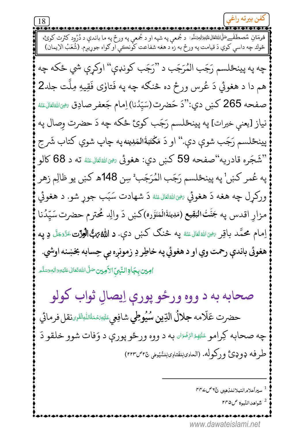څوك چه داسې كوي دَ قيامت په ورځ به زه د هغه شفاعت كونكي او كواه جوړيږم. (شَعَبُ الْإِيمانَ) چه په پينځلسم رَجَب المُرَجَب د ''رَجَب كونډې'' اوكړې شي ځكه چه هم دا د هغوئي دَ عُرِس ورځ ده څنګه چه په فَتالوی فَقِيهِ مِلَّت جلد2 صفحه 265 كښ دي:"دَ حَضرت(سَيِّدُنا) اِمام جَعفر صادِق ﷺتَعَالِمَنَّهُ نياز [يعني خيرات] په پينځلسم رَجَب كوئ ځكه چه دَ حضرت وصال په پينځلسم رَجَب شوې دې.'' او دَ مَكْتَبَةُالمَدِينه په چاپ شوي كتاب شَرج "شَجَره قادريه"صفحه 59 كښ دي: هغوئى ﷺتَتالﷺ ته د 68 كالو په عُمر كښ' په پينځلسم رَجَب المُرَجَب ْ سِن 148ه كښ يو ظالِم زهر ورکړل چه هغه دَ هغوئي ﷺتَنَالﷺ دَ شهادت سَبَب جوړ شو. د هغوئي مزارِ اقدس په جَنَّتْ الْمَقِيع (مَدِينَةْالْمُنَوَّره)کښ دَ والِد مُحترم حضرت سَيِّدُنا اِمام محمَّد باقِر ﷺ <sub>للث</sub>اثان عناه په څنګ کښ دې. **د الله ته الْوَرْت** عَزَى َلَّ وِ په هغوئي باندې رحمت وي او د هغوئي په خاطِر دِ زمونږه بې حِسابه بخښنه اوشي. <mark>اوبين بِجَالِا النَّبِيّ الأَمِين</mark> صَلَّى اللهُ تَعَالى عَلَيْهِ وَال<sub>ل</sub>َّوسَلَّه صحابه به د ووه ورځو پورې اِيصالِ ثواب کولو حضرت عَلّامه جلالُ الدِّين سُيُوطِي شافِعِي عَيْسَى عَلَيْهِ مَعَالِمَا اللَّهِ عَلَيْهِ مِائِي چه صحابه کِرامو ﷺ الرِّفْعَان به د ووه ورځو پورې د وَفات شوو خلقو دَ طرفه ډوډئ ورکوله. (العاوىلِلفتاوىلِلسُّيُولى ٢٥-٢٣٣) <sup>1</sup> سيراَعلام النبلاللذهبي ع٧ص٥٣٢  $r \sim \omega$ شواهدالنّبوة  $^2$ www.dawateislami.net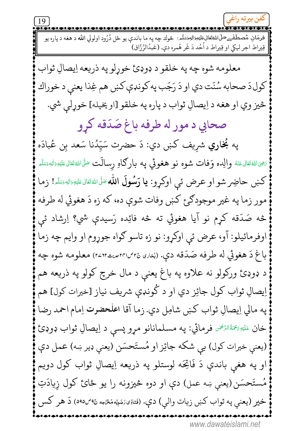19 فرمَان مُصطَفْےحَلَّاللّٰهَتَعَالٰىعَلَيْهِ َالٰہِمَسَلَّم: څوك چه په ما باندې يو ځل دُرُود اولولي الله د هغه د پاره يو قِيراط اجر ليكي او قِيراط د اُحُد دَ غَر هُمره دي. (عَبدُالرَّزَّاق)

معلومه شوه چه په خلقو د ډوډئ خورلو په ذريعه اِيصالِ ثواب كول دَ صحابه سُنّت دي او دَ رَجَب په كونډې كښ هم غِذا يعني د خوراك څيز وي او هغه د اِيصالِ ثواب د پاره په خلقو [او پخپله] خوړلي شي.

صحابي د مور له طرفه باغ صَدَقه كرو

په **بُخاري** شريف كښ دي: دَ حضرت سَيّدُنا سَعد بن عُبادَه ىنجىَ اللهُ تَعَالى عَنْهُ والِده وَفات <mark>شوه نو هغوئي په بار</mark>ګاهِ رسالَت <sup>صَلَّى اللهُ تَعَالى عَلَيْهِ <sub>دَ</sub>اللهِ <sub>تَ</sub>سَلَّم</sup> كىنى حاضِر شو او عرض ئى اوكړو: يا رَسُولَ الله صَلَّى الله قَالِ عَلَيْهِ وَاللهِ مَسَّد! زما مور زما په غير موجودګرئ کښ وفات شوې ده، که زه دَ هغوئي له طرفه څه صَدَقه کړم نو آيا هغوئي ته څه فائِده رَسيدې شي؟ اِرشاد ئې اوفرمائيلو: آو، عرض ئي اوكړو: نو زه تاسو ګواه جوړوم او وايم چه زما باغ دَ هغوئي له طرفه صَدَقه دي. (بُناري٣٥٣٣،٣٥٣، ١٢٥٦٣، معلومه شوه چه د ډوډئ ورکولو نه علاوه په باغ يعني د مال خرچ کولو په ذريعه هم اِيصالِ ثواب كول جائِز دي او د كُونډې شريف نياز [خيرات كول] هم په مالي اِيصالِ ثواب كښ شامِل دي. زما آقا اعلحضرت اِمام احمد رضا خان عَلَيْهِ بَهْمَةُالزَّ<sup>نْمِ</sup>ن فرمائي: په مسلمانانو مړو پسې د اِيصالِ ثواب ډوډئ (يعني خيرات كول) بي شكه جائِز او مُستَحسَن (يعني ډير ښه) عمل دې او په هغې باندې دَ فَاتِحَه لوستلو په ذریعه اِیصالِ ثواب کول دویم مُستَحسَن(يعني ښه عمل) دې او دوه څيزونه را يو ځائ كول زيادَتِ خير (يعني په ثواب كښ زيات والي) دې. (نَتالِيَ، مَئِيه مُئَهم صَه صه ٥٩٥) دَ هر كس www.dawateislami.net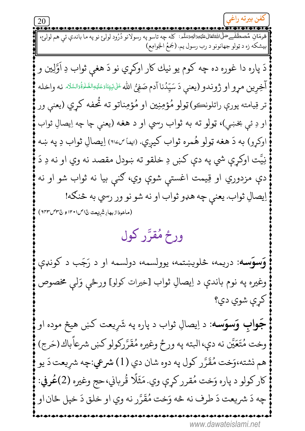بيشكه زه د ټولو جهانونو د رب رسول يم. (جَمعُ الجَوامِع) دَ پاره دا غوره ده چه کوم يو نيك كار اوكړي نو دَ هغې ثواب دِ اَوَّلِين و آخِرين مرو او ژوندو (يعني دَ سَيِّدُنا آدم صَفِيُّ الله عَلىٰنَبِيّاَدَعَكِبَاطَاهُاهُ أَدَاسَكَاه نه واخله تر قِيامته پورې راتلونڪو) ټولو مُؤمِنِين او مُؤمِناتو ته تُحفه کړي (يعني ور او دِ ئې بخښي)، ټولو ته به ثواب رسي او د هغه (يعنې چا چه اِيصالِ ثواب اوکړو) به دَ هغه ټولو هُمره ثواب کيږي. (ايفا ص١١٤) اِيصالِ ثواب دِ په ښه نِيَّت اوکړې شي په دې کښ دِ خلقو ته ښودل مقصد نه وي او نه دِ دَ دې مزدوري او قِيمت اغستې شوې وي، ګنې بيا نه ثواب شو او نه اِيصالِ ثواب. يعني چه هډو ثواب او نه شو نو ور رسي به څنګه! (ماخوذازبهارِ شَهدِت ن اص ١٢٠١ و ٢٣٥ ص ٦٢٣) ورځ مُقرَّر کول وَسوَسه: دریمه، څلویښتمه، یوولسمه، دولسمه او د رَجَب د کونډې وغيره په نوم باندې د اِيصالِ ثواب [خيرات كولو] ورځي وَلبي مخصوص کري شوي دي؟ **جَوابِ وَسوَسه**: د اِيصالِ ثواب د پاره په شَرِيعت کښ هيڅ موده او وخت مُتَعَيَّن نه دې،البته په ورځ وغيره مُقَرَّركولو كښ شرعاًباك (حَرج) هم نشته،وَخت مُقَرَّر كول په دوه شان دي (1) شرعي:چه شريعت دَ يو كار كولو د پاره وَخت مُقرر كړې وي. مَثَلًا قُرباني، حج وغيره (2)عُرفي: چه دَ شريعت دَ طرف نه څه وَخت مُقَرَّر نه وي او خلق دَ خپل ځان او www.dawateislami.net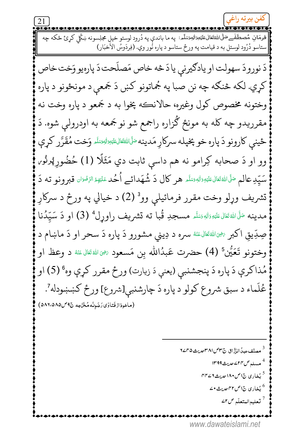فرمَان مُصطَفْےحَلّٰی اللّٰہُتَعَالٰى عَلَیۡتِوَاٰلٰہِٓوَسَلّٰھ : یه ما باندی یه دُرود لوستو خپل مجلِسونه ښکُل کرئ ځکه چه ستاسو دُرُود لوستل به د قيامت په ورځ ستاسو د پاره نُور وي. (فِردَوسُ الأخبَار) دَ نورودَ سهولت او يادګيرني يادَ څه خاص مَصلَحت دَ پارهيو وَخت خاص کړي. لکه څنګه چه نن صبا په جُماتونو کښ دَ جَمعي د مونځونو د پاره وختونه مخصوص كول وغيره، حالانڪه پخوا به د جَمعو د پاره وخت نه مقرریدو چه کله به مونځ گزاره راجمع شو نو جَمعه به اودرولي شوه. دَ ځينېي كارونو دَ پاره خو پخپله سركار مَدينه مَلَالله قال، قليه الله عليه وَخت مُقَرَّر كړې وو او دَ صحابه کِرامو نه هم داسي ثابت دي مَثَلًا (1) حُضُور پُرنُو، سَيِّدِعالم صَلَّىاللهُ قَتال عَلَيْهِ وَاللهِ وَسَلَّم هر كال دَ شُهَدائے اُحُد عَلَيْهِءُ الرِّفْعَان قبرونو ته دَ تشريف وړلو وخت مقرر فرمائيلي وو<sup>3</sup> (2) د خيالي په ورځ د سرکار مدينه مَلَّىاللهُ تَعَالى عَلَيْهِ وَاللهِ وَسَلَّم مسجدِ قُبا ته تشريف راوړل<sup>4</sup> (3) او دَ سَيِّدُنا صِدِّيقِ اکبر ﷺَ اللهُ عَنْهُ سره د دِيني مشورو دَ پاره دَ سحر او دَ ماښام د وختونو تَعَيُّن ۚ (4) حضرت عَبدُالله بِن مَسعود ﷺ اللهَ تَعَالَى عَنْهُ د وعظ او مُذاكرې دَ پاره دَ پنجشنبي (يعنې دَ زيارت) ورځ مقرر كړې وه ° (5) او عُلَماء د سبق شروع كولو د پاره دَ چارشنبي[شروع] ورځ كښښودله ً. (ماخوذازفَتالوي رَضَوتَه مُخَرَّجِه ج9 ص ٨٩:٥٨٥) <sup>3</sup> مصنِّفءيدُ∖الزَّزَّاق نَّ۳*⁄الπامديث*۵^/∠٢ <sup>4</sup> مسله ص٢٢ ۷مريث١٣٩٩ <sup>5</sup> بُخاری ج1ص•۱۸ <sub>صدیث</sub>۲۴ سم <sup>6</sup> پُخا<sub>د</sub>ی ج۱ص۴۲ *جدی*ث •۷ ر<br>تعليم المتعلّم <sup>ص2</sup> www.dawateislami.net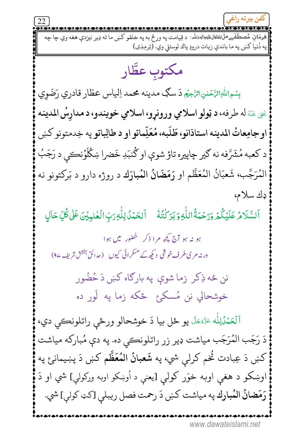په دُنيا كښ په ما باندې زيات درودِ پاك لوستلي وي. (تِرمِذِي) مكتوب عطَّار بِسْمِاللَّهِالرَّحْلِنِالرَّحِيُّمِ دَ سُكِّ مدينه محمد اِلياس عطّار قادري رَضَوِي عُفِيَ عَنْهُ له طرفه، د ټولو اسلامي ورونړو، اسلامي خويندو، د مدارسُ المدينه اوجامِعاتُ المدينه استاذانو، طَلَبه، مُعَلِّماتو او د طالِباتو په خِدمتونو كښ د كعبه مُشَرَّفه نه كير چاپيره تاؤ شوې او كُنبَدِ خَضرا ښكُلوُنڪي د رَجَبُ الْمُرَجَّب، شَعبَانُ الْمُعَظَّم او رَمَضَانُ المُبارَك د روژه دارو د بَركتونو نه ډك سلام، ٱلسَّلَامُ عَلَيْكُمْ وَرَحْمَةُ اللَّٰهِ وَبَرَكْتُهُ ۚ ٱلحَمْدُ لِلَّٰهِ رَبِّ الْعٰلَمِيْنَ عَلَى كُلِّ حَالٍ ہو نہ ہو آج کچھ م ا ذکر گھنور میں ہوا ورنہ مری طرف خوشی دیکھ کے مسکرائی کیوں (عدائق بخش شریف ۹۷) نن څه ذِکر زما شوې په بارګاه کښ دَ حُضُور خوشحالي نن مُسكىځ ځكه زما په لَور ده اَلۡعَمۡدُٰلِلّٰه ۚ ۚ تَنۡدَ ۡ يو ځل بيا دَ خوشحالو ورځې راتلونڪي دي، دَ رَجَب المُرَجَب مياشت ډير زر راتلونڪي ده. په دې مُبارکه مياشت كښ دَ عِبادت تُخم كرلي شي، په **شَعبانُ المُعَظَّم** كښ دَ پښيمان<sub>ئ</sub> په اوښکو د هغې اوبه خوَر کولې [يعنې د اُوښکو اوبه ورکولې] شي او دَ رَمَضانُ المُبارك په مياشت كښ دَ رحمت فصل ريبلې [كټ كولې] شي. www.dawateislami.net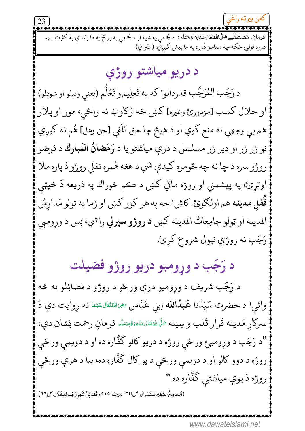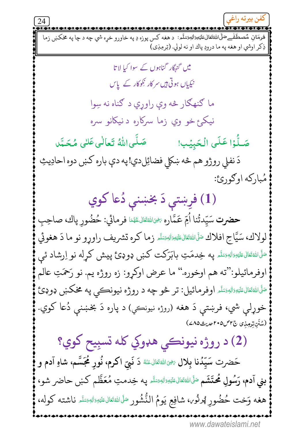فرمَان مُصطَفْےصَلِّلْاللَّٰهُتَعَالٰى عَلَيْمِوَاللٰہِصَلَّٰہِ: د هغه کس پوزه دِ په خاورو خړه شي چه د چا په مخکښ زما ذِكر اوشي او هغه په ما درودِ پاك او نه لولي. (تِرمِذِي) میں گنہگار گناہوں کے سوا کیا لا تا نیکیاں ہوتی ہیں سرکار نکوکار کے پاس ما ګنهګار څه وې راوړي د ګناه نه سِوا نيکئ خو وي زما سرکاره د نيکانو سره صَلَّىاللَّهُ تَعالٰى عَلٰى مُحَمَّد صَلُّوۡا عَلَى الۡحَبِیۡبِ! دَ نفلي روژو هم څه ښکلي فضائِلدي!په دې باره کښ دوه احادِيثِ مُباركه اوګورئ: (1) فرِښتې دَ بخښنې دُعا کوي **حضرت** سَيّدتُنا اُمِّ عَمَّاره ﷺ الثَّاسُ عَهْدَا فرمائي: حُضُورِ پاك، صاحِبِ لولاك، سَيَّاحِ افلاك صَلَّالثَّةَتَالَّتَقِيَّالِهِيَسَلَّهِ زِما كره تشريف راورو نو ما دَ هغوئي <sup>صَلَّى</sup>اللَّهُ تَعَالى عَلَيْهِ وَاللهِ وَسَلَّمَ بِهِ خِيدَمَتِ بِابْرَكْت كُنْبَى دُودِئٍ پِيش كُرلِه نو اِرشاد ئى اوفرمائيلو:''ته هم اوخوره.'' ما عرض اوكړو: زه روژه يم. نو رَحمَتِ عالم <sup>صَلَّى</sup>اللَّهُ تَعَالَىٰ عَلَيْهِ وَاللَّهِ رَسُلُمْ وَالْمَيْلِ: تر څو چه د روژه نيونڪي په مخکښ ډوډئ خوړلې شي، فرښتې دَ هغه (روژه نيونڪي) د پاره دَ بخښنې دُعا کوي. (شَنَن تِرْمِذِي ج٣٠ص٣٠٥ مديث ٤٨٥) (2) د روژه نيونکي هډوکي کله تسبِيح کوي؟ حَضرت سَيِّدُنا بِلال ﷺ اللهَ عَنْهُ دَ نَبِيّ اكرم، نُورٍ مُحَمَّسُم، شاهِ آدم و بني آدم، رَسُولِ مُحتَشَم صَلَّاللهُ تَعَالىءَليْهِ زالهِمِسَلَّم په خِدمتِ مُعَظَّم كښ حاضر شو، هغه وَخت حُضُورِ ڥُرنُو،، شافِعِ يَومُ النُّشُور صَّلَىاللهُ تَعَالىءَليَهِ اللهِ مَمَلَم ناشته كوله، www.dawateislami.net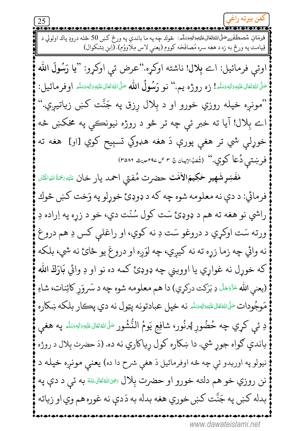$25$ فرمَان مُصطَفْےحَلَّاللَّهُتَعَالىعَلَيْصِرَالْبَمَسَلَّمِ: څوك چه په ما باندې په ورځ كښ 50 ځله درودٍ پاك اولولي د قِيامتَ په ورځ به زه د هغه سره مُصافَحَه كووم (يعني لاس مِلاووُم). (اِبنِ بشكوال) اوئبي فرمائيل: اے بِلال! ناشته اوكرٍه.''عرض ئي اوكرو: ''يا رَسُولَ الله صَلَّى اللهُ تَعَالى عَلَيْهِ وَالدِّمَتِكُم! زه روژه يم.'' نو رَسُولُ الله صَلَّى اللهُ تَعَالى عَلَيْهِ وَالده وَسَلَّم اوفر مائيل: "مونږه خپله روزي خورو او د بِلال ږزق په جَنَّت کښ زياتيږي." اے بِلال! آيا ته خبر ئي چه تر څو د روژه نيونڪي په مخکښ څه خوړلې شي تر هغې پورې دَ هغه هډوکي تسبِيح کوي [او] هغه ته فرښتبی دُعا کوي.'' (شُعَبُالاِيمان & ۳ ص ۲۹۷صيت ۳۵۸۶) مُفَسِّرٍ شَهِيرٍ حَكِيمُ!لأُمَّت حضرت مُفتى احمد يار خان ءَلَنِهُ مَمَّةُ اللهِ!لَخَان فرمائي: د دې نه معلومه شوه چه كه د ډوډئ خوړلو په وَخت كښ څوك راشي نو هغه ته هم د ډوډئ سَت کول سُنّت دي، خو د زړه په اِراده دِ ورته سَت اوکړي د دروغو سَت دِ نه کوي، او راغلي کس دِ هم دروغ نه وائي چه زما زړه ته نه کيږي، چه لوَږه او دروغ يو ځائ نه شي، بلکه که خوړل نه غواړي يا اوويني چه ډوډئ کمه ده نو او دِ وائي بَارَكَ الله (يعني الله عَرَّمَحَلَّ دِ بَرَكت دركړي) دا هم معلومه شوه چه د سَروَرِ كائِنات، شاهِ مَوجُودات ٷَاللڤقَالﷺالله نه خپل عبادتونه پټول نه دي پڪار بلکه ښکاره دِ ئې کړي چه حُضُورِ ڥُرنُور، شافِعِ يَومُ النُّشُور <sup>صَلَّى اللهُ تَعَالىءَلي<sub>َّةِ ت</sub>َالِهِ <sub>تَ</sub>سَلَّه په هغى</sup> باندې ګواه جوړ شي. دا ښکاره کول رِياکاري نه ده. (دَ حضرت بِلال د روژه نيولو په اوريدو ئې چه څه اوفرمائيل دَ هغې شرح دا ده) يعني مونږه خپله د نن روزي خو هم دلته خورو او حضرت بِلال ﷺ به ئي د دې په بدله کښ په جَنَّت کښ خوري هغه بدله به دَدې نه غوره هم وي او زياته www.dawateislami.net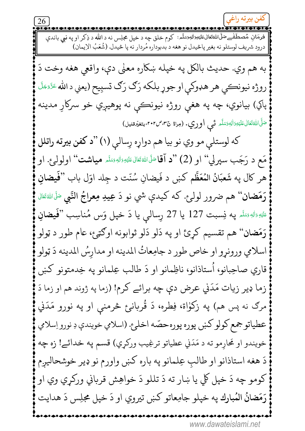26 فرمَان مُصطَفْےحَلَّلْاللَّهُتَعَالىءَليَجِرَالل<sup>ِ</sup>وسَلَّم: كوم خلق چه د خپل مجلِس نه د الله د ذِكر او په نبي باندې درود شريف لوستلو نه بغير پاڅيدل نو هغه د بدبوداره مُردار نه پا څيدل. (شُعَبُ الاِيمان) به هم وي. حديث بالكل په خپله ښكاره معنى دي، واقعي هغه وخت دَ روژه نيونڪي هر هډوکي او جوړ بلکه رَګ رَګ تسبِيح (يعني د الله عَزَّمَتَّ پاکي) بيانوي، چه په هغې روژه نيونڪي نه پوهيږي خو سرکاړ مدينه صَلَّ اللَّهُ تَعَالَى عَلَيْهِ وَاللَّهِ وَسَلَّه مَّــى **اوري. (مِراة ج۳۰، ص۳۰۲، بتغيّرقن**يل) كه لوستلي مو وي نو بيا هم دواړه رسالي (١) "د كفن بيرته راتلل مَع د رَجَب سپرلي'' او (2) "د آقاﷺ الله تَعَالى عَلَيْهِ وَاللهِ وَسَلَّهِ **مياشت'' اولول**ۍ. او هر كال په شَعبَانُ المُعَظَّم كښ د فَيضانِ سُنَّت د جِلد اوّل باب ''فَمِضانِ رَمَضان'' هم ضرور لولئ. كه كيدې شي نو دَ عِيدِ مِعراجُ النَّبِي ﷺ لَهُ تَعَال عَلَيْهِ وَاللَّهِ وَسَلَّمَ يه نِسمبت 127 يا 27 رِسال<sub>ع</sub>ي يا دَ خپل وَس مُناسِب ''**فَيضانِ** رَمَضان'' هم تقسيم كرِئ او په دَلو دَلو ثوابونه اوګټئ، عام طور د ټولو اسلامي ورونړو او خاص طور د جامِعاتُ المدينه او مدارسُ المدينه دَ ټولو قاري صاحِبانو، اُستاذانو، ناظِمانو او دَ طالب عِلمانو په خِدمتونو كښ زما ډير زيات مَدَني عرض دې چه برائے كرم! (زما په ژوند هم او زما دَ مرګ نه پس هم) په زکوٰاة، فِطره، دَ قُربانیځ څرمنې او په نورو مَدَني عطياتوجمع كولو كښ پوره پوره حصّه اخلئ. (اسلامي خويندې دِ نورو اِسلامي خويندو او محارمو ته د مَدَني عطياتو ترغِيب وركري) قسم په خدائے! زه چه دَ هغه استاذانو او طالبِ عِلمانو په باره کښ واورم نو ډير خوشحاليږم کومو چه دَ خپل کلي يا ښار ته دَ تللو دَ خواهِش قرباني ورکړي وي او رَمَضانُ المُبارك په خپلو جامِعاتو كښ تيروي او دَ خپل مجلِس دَ هدايت www.dawateislami.net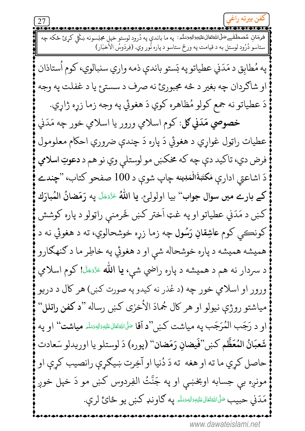فرمَانِ مُصطَفْےحَلَّاللَّهُتَعَالىعَلَيْهِ َالْعَصَلَّمِ: ﭘﻪ ﻣﺎ ﺑﺎﻧﺪﻱ ﭘﻪ ﺩُﺭﻭﺩ ﻟﻮﺳﺘﻮ ﺧﭙﻞ ﻣﺠﻠِﺴﻮﻧﻪ ښكُﻞ ﻛﺮﺉ ځكه ﭼﻪ ستاسو دُرُود لوستل به د قيامت په ورځ ستاسو د پاره نُور وي. (فِردَوسُ الأخبَار) په مُطابق د مَدَني عطياتو په بَستو باندې ذمه واري سنبالوي، کوم اُستاذان او شاګردان چه بغير د څه مجبورئ نه صرف د سستږع يا د غفلت په وجه دَ عطياتو نه جمع كولو مُظاهره كوي دَ هغوئي په وجه زما زړه ژاړي. خصوصي مَدَنى كل: كوم اسلامي ورور يا اسلامي خور چه مَدَنى عطيات راټول غواري د هغوئي دَ پاره دَ چندي ضروري احکام معلومول فرض دي، تاكيد دې چه كه مخكښ مو لوستلې وي نو هم د دعوتِ اسلامي دَ اشاعتي اداري مَكتَبَةُالْمَدِينه چاپ شوي د 100 صفحو كتاب، "چندے كے بارے ميں سوال جواب'' بيا اولولرع. يا اللّٰهُ عَنَّتَّ په رَمَضانُ المُبارَك کښ د مَدَني عطياتو او په غټ اَختر کښ څَرمني راټولو د پاره کوشش کونڪي کوم عاشِقانِ رَسُول چه زما زړه خوشحالوي، ته د هغوئي نه د هميشه هميشه د پاره خوشحاله شي او د هغوئي په خاطِر ما د كنهگارو د سردار نه هم د هميشه د پاره راضي شي، يا الله عَنَّفَجَلَّ! كوم اسلامي ورور او اسلامي خور چه (د عُذر نه کيدو په صورت کښ) هر کال د دريو مياشتو روژې نيولو او هر كال جُمادَ الأخرى كښ رساله ''د كفن راتلل'' او د رَجَبِ الْمُرَجَّبِ به مباشت كَښ "د آقا مَلَّاللَّهُ تَعَالِّ عَلَيْهِ اللَّهُ تَسَلَّهُ مِباشت" او يه شَعبَانُ المُعَظَّم كښ''فَيضانِ رَمَضان'' (پوره) دَ لوستلو يا اوريدلو سَعادت حاصل کري ما ته او هغه ته دَ دُنيا او آخِرت ښيګري رانصيب کري او مونږه بې حِسابه اوبخښي او په جَنَّتُ الفِردوس کښ مو دَ خپل خوږ مَدَنى حبيبٍ مَلَىٰاللَّهُ تَعَالِىءَلَيْهِ وَالدِّرْسَلَّہِ يه گاوند كبن يو ځائ لري. www.dawateislami.net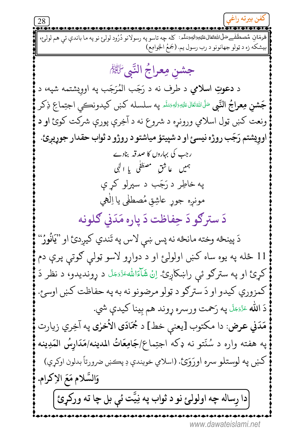28 .<br>فرمَان مُصطَفْے صَلَّى اللَّهُتَعَالىءَلَيْتِوَالْهِيَسَلَّم: كله چه تاسو په رسولانو دُرُود لولم ٔ نو په ما باندې ئې هم لولو، بيشكه زه د ټولو جهانونو د رب رسول يم. (جَمعُ الجَوامِع) جشن مِعراجُ النَّبِي ُۗالِّيْمِ د **دعوتِ اسلامی** د طرف نه د رَجَب المُرَجَب په اوویشتمه شپه، د **جَشن مِعراجُ النَّ**بِي <sup>صَلَّى اللهُ تَعَالىءَليَهِ وَالهِ وَسَلَم لِهِ سلسله كَنْبِي كَيْدُونِكِي اجتِماعِ ذِكر</sup> ونعت کښ ټول اسلامي ورونړه د شروع نه د آخِرې پورې شرکت کوئ او د اوويشتم رَجَب روژه نيسئ او د شپيتؤ مياشتو د روژو د ثواب حقدار جوړيږئ. رجب کی بہاروں کا صدقہ بنادے ہمیں عاشق مصطفٰی یا الٰہی په خاطِر د رَجَب د سپرلو کر ې مونږه جوړ عاشِقِ مُصطفٰی یا اِلٰہی دَ سترګو دَ حِفاظت دَ پاره مَدَني ګلونه دَ پينځه وخته مانځه نه پس ښې لاس په تَندي کيږدئ او "يَانُورٌ" 11 ځله په يوه ساه کښ اولولئ او د دواړو لاسو ټولې ګوتې پرې دم کړئ او په سترګو ئې راښکاږئ. اِنْ شَآءَاللهءَدَّءَ َ د ړونديدو، د نظر دَ کمزوري کيدو او دَ سترګو د ټولو مرضونو نه به په حفاظت کښ اوسئ. دَ الله عَزَّمَءَلَ په رَحمت ورسره ړوند هم بِينا کيدې شي. مَدَني عرض: دا مكتوب [يعني خط] د جُمَادَى الأخرٰى په آخِري زيارت په هفته واره د سُنّتو نه ډکه اجتِماع/جَامِعَاتُ المدينه/مَدَارِسُ المَدِينه کښ په لوستلو سره اورَوَئِ. (اسلامي خويندې دِ پڪښ ضرورتاً بدلون اوکړي) وَالسَّلامِ مَعَ الإكرامِ. دا رِساله چه اولولئ نو د ثواب په نِيَّت ئي بل چا ته ورکړئ |

www.dawateislami.net